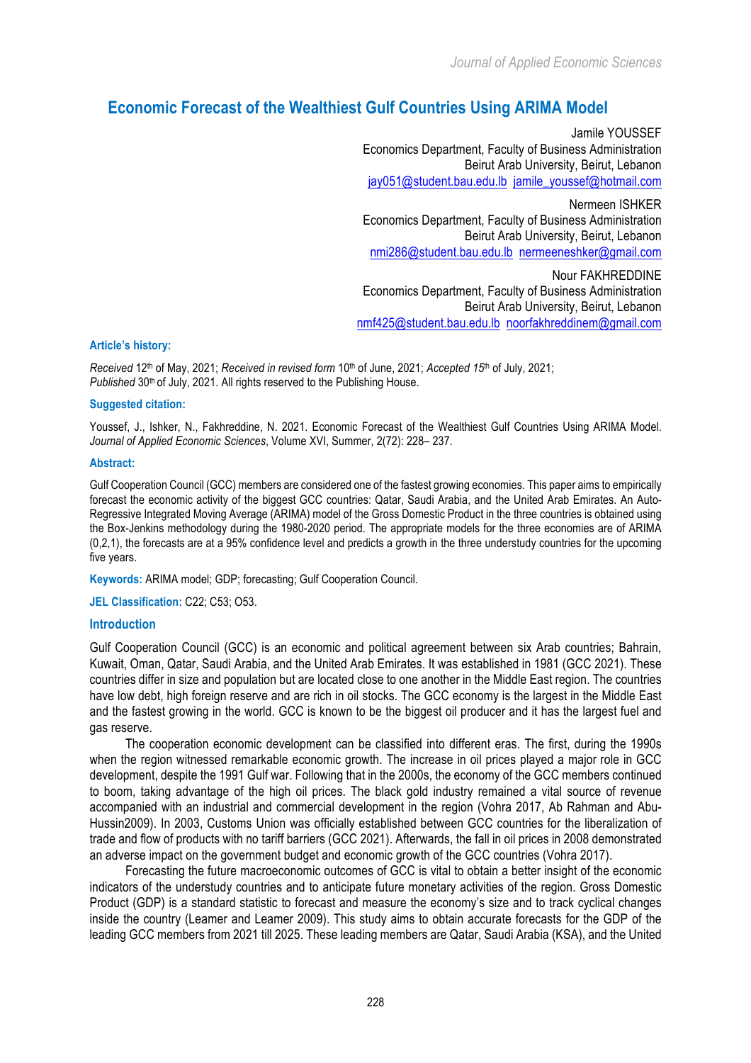*Journal of Applied Economic Sciences*

# **Economic Forecast of the Wealthiest Gulf Countries Using ARIMA Model**

Jamile YOUSSEF Economics Department, Faculty of Business Administration Beirut Arab University, Beirut, Lebanon jay051@student.bau.edu.lb jamile\_youssef@hotmail.com Nermeen ISHKER Economics Department, Faculty of Business Administration Beirut Arab University, Beirut, Lebanon nmi286@student.bau.edu.lb nermeeneshker@gmail.com Nour FAKHREDDINE Economics Department, Faculty of Business Administration Beirut Arab University, Beirut, Lebanon

## nmf425@student.bau.edu.lb noorfakhreddinem@gmail.com

#### **Article's history:**

*Received* 12th of May, 2021; *Received in revised form* 10th of June, 2021; *Accepted 15*th of July, 2021; *Published* 30<sup>th</sup> of July, 2021. All rights reserved to the Publishing House.

#### **Suggested citation:**

Youssef, J., Ishker, N., Fakhreddine, N. 2021. Economic Forecast of the Wealthiest Gulf Countries Using ARIMA Model. *Journal of Applied Economic Sciences*, Volume XVI, Summer, 2(72): 228– 237.

#### **Abstract:**

Gulf Cooperation Council (GCC) members are considered one of the fastest growing economies. This paper aims to empirically forecast the economic activity of the biggest GCC countries: Qatar, Saudi Arabia, and the United Arab Emirates. An Auto-Regressive Integrated Moving Average (ARIMA) model of the Gross Domestic Product in the three countries is obtained using the Box-Jenkins methodology during the 1980-2020 period. The appropriate models for the three economies are of ARIMA (0,2,1), the forecasts are at a 95% confidence level and predicts a growth in the three understudy countries for the upcoming five years.

**Keywords:** ARIMA model; GDP; forecasting; Gulf Cooperation Council.

**JEL Classification:** C22; C53; O53.

### **Introduction**

Gulf Cooperation Council (GCC) is an economic and political agreement between six Arab countries; Bahrain, Kuwait, Oman, Qatar, Saudi Arabia, and the United Arab Emirates. It was established in 1981 (GCC 2021). These countries differ in size and population but are located close to one another in the Middle East region. The countries have low debt, high foreign reserve and are rich in oil stocks. The GCC economy is the largest in the Middle East and the fastest growing in the world. GCC is known to be the biggest oil producer and it has the largest fuel and gas reserve.

The cooperation economic development can be classified into different eras. The first, during the 1990s when the region witnessed remarkable economic growth. The increase in oil prices played a major role in GCC development, despite the 1991 Gulf war. Following that in the 2000s, the economy of the GCC members continued to boom, taking advantage of the high oil prices. The black gold industry remained a vital source of revenue accompanied with an industrial and commercial development in the region (Vohra 2017, Ab Rahman and Abu-Hussin2009). In 2003, Customs Union was officially established between GCC countries for the liberalization of trade and flow of products with no tariff barriers (GCC 2021). Afterwards, the fall in oil prices in 2008 demonstrated an adverse impact on the government budget and economic growth of the GCC countries (Vohra 2017).

Forecasting the future macroeconomic outcomes of GCC is vital to obtain a better insight of the economic indicators of the understudy countries and to anticipate future monetary activities of the region. Gross Domestic Product (GDP) is a standard statistic to forecast and measure the economy's size and to track cyclical changes inside the country (Leamer and Leamer 2009). This study aims to obtain accurate forecasts for the GDP of the leading GCC members from 2021 till 2025. These leading members are Qatar, Saudi Arabia (KSA), and the United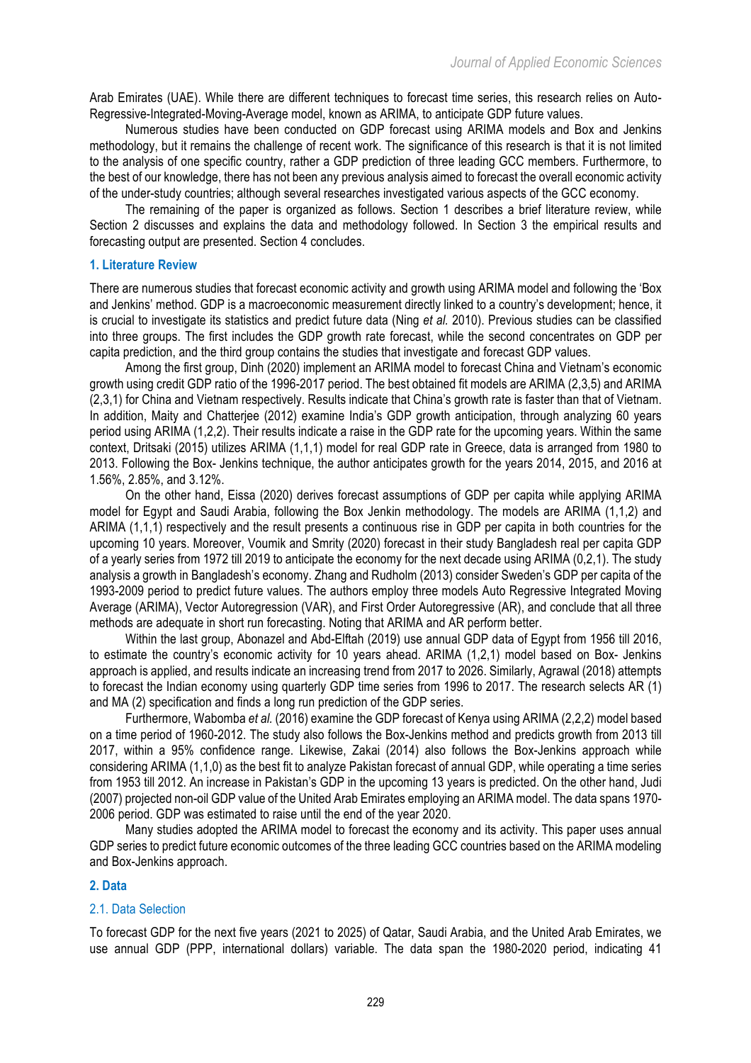Arab Emirates (UAE). While there are different techniques to forecast time series, this research relies on Auto-Regressive-Integrated-Moving-Average model, known as ARIMA, to anticipate GDP future values.

Numerous studies have been conducted on GDP forecast using ARIMA models and Box and Jenkins methodology, but it remains the challenge of recent work. The significance of this research is that it is not limited to the analysis of one specific country, rather a GDP prediction of three leading GCC members. Furthermore, to the best of our knowledge, there has not been any previous analysis aimed to forecast the overall economic activity of the under-study countries; although several researches investigated various aspects of the GCC economy.

The remaining of the paper is organized as follows. Section 1 describes a brief literature review, while Section 2 discusses and explains the data and methodology followed. In Section 3 the empirical results and forecasting output are presented. Section 4 concludes.

## **1. Literature Review**

There are numerous studies that forecast economic activity and growth using ARIMA model and following the 'Box and Jenkins' method. GDP is a macroeconomic measurement directly linked to a country's development; hence, it is crucial to investigate its statistics and predict future data (Ning *et al.* 2010). Previous studies can be classified into three groups. The first includes the GDP growth rate forecast, while the second concentrates on GDP per capita prediction, and the third group contains the studies that investigate and forecast GDP values.

Among the first group, Dinh (2020) implement an ARIMA model to forecast China and Vietnam's economic growth using credit GDP ratio of the 1996-2017 period. The best obtained fit models are ARIMA (2,3,5) and ARIMA (2,3,1) for China and Vietnam respectively. Results indicate that China's growth rate is faster than that of Vietnam. In addition, Maity and Chatterjee (2012) examine India's GDP growth anticipation, through analyzing 60 years period using ARIMA (1,2,2). Their results indicate a raise in the GDP rate for the upcoming years. Within the same context, Dritsaki (2015) utilizes ARIMA (1,1,1) model for real GDP rate in Greece, data is arranged from 1980 to 2013. Following the Box- Jenkins technique, the author anticipates growth for the years 2014, 2015, and 2016 at 1.56%, 2.85%, and 3.12%.

On the other hand, Eissa (2020) derives forecast assumptions of GDP per capita while applying ARIMA model for Egypt and Saudi Arabia, following the Box Jenkin methodology. The models are ARIMA (1,1,2) and ARIMA (1,1,1) respectively and the result presents a continuous rise in GDP per capita in both countries for the upcoming 10 years. Moreover, Voumik and Smrity (2020) forecast in their study Bangladesh real per capita GDP of a yearly series from 1972 till 2019 to anticipate the economy for the next decade using ARIMA (0,2,1). The study analysis a growth in Bangladesh's economy. Zhang and Rudholm (2013) consider Sweden's GDP per capita of the 1993-2009 period to predict future values. The authors employ three models Auto Regressive Integrated Moving Average (ARIMA), Vector Autoregression (VAR), and First Order Autoregressive (AR), and conclude that all three methods are adequate in short run forecasting. Noting that ARIMA and AR perform better.

Within the last group, Abonazel and Abd-Elftah (2019) use annual GDP data of Egypt from 1956 till 2016, to estimate the country's economic activity for 10 years ahead. ARIMA (1,2,1) model based on Box- Jenkins approach is applied, and results indicate an increasing trend from 2017 to 2026. Similarly, Agrawal (2018) attempts to forecast the Indian economy using quarterly GDP time series from 1996 to 2017. The research selects AR (1) and MA (2) specification and finds a long run prediction of the GDP series.

Furthermore, Wabomba *et al.* (2016) examine the GDP forecast of Kenya using ARIMA (2,2,2) model based on a time period of 1960-2012. The study also follows the Box-Jenkins method and predicts growth from 2013 till 2017, within a 95% confidence range. Likewise, Zakai (2014) also follows the Box-Jenkins approach while considering ARIMA (1,1,0) as the best fit to analyze Pakistan forecast of annual GDP, while operating a time series from 1953 till 2012. An increase in Pakistan's GDP in the upcoming 13 years is predicted. On the other hand, Judi (2007) projected non-oil GDP value of the United Arab Emirates employing an ARIMA model. The data spans 1970- 2006 period. GDP was estimated to raise until the end of the year 2020.

Many studies adopted the ARIMA model to forecast the economy and its activity. This paper uses annual GDP series to predict future economic outcomes of the three leading GCC countries based on the ARIMA modeling and Box-Jenkins approach.

### **2. Data**

### 2.1. Data Selection

To forecast GDP for the next five years (2021 to 2025) of Qatar, Saudi Arabia, and the United Arab Emirates, we use annual GDP (PPP, international dollars) variable. The data span the 1980-2020 period, indicating 41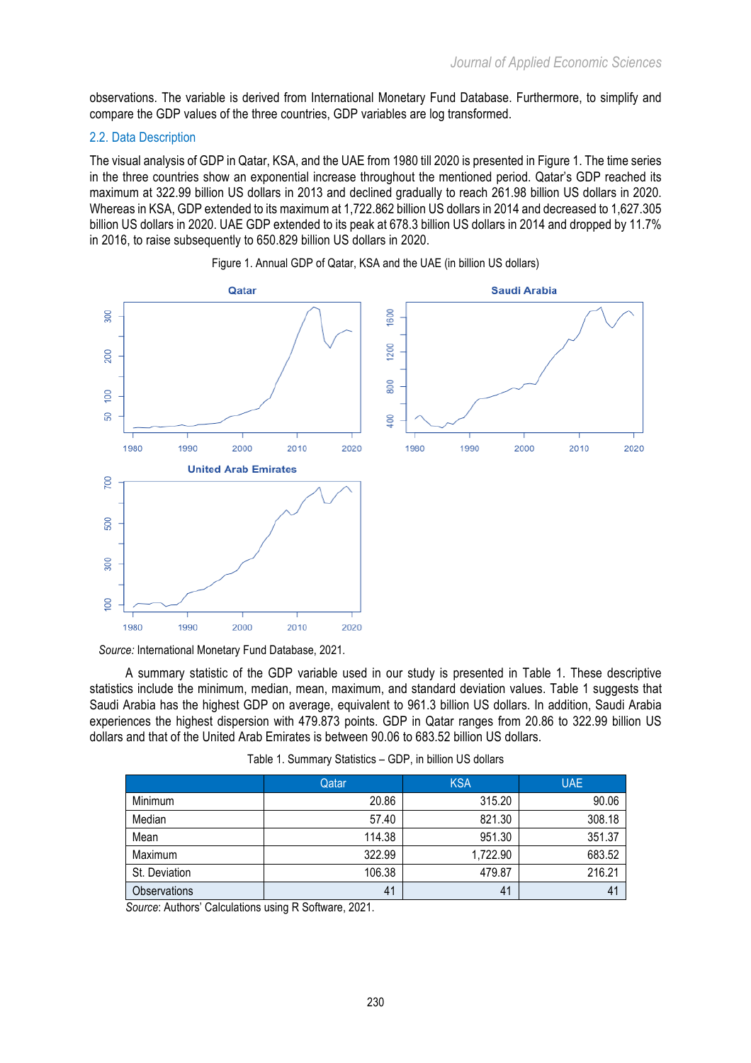observations. The variable is derived from International Monetary Fund Database. Furthermore, to simplify and compare the GDP values of the three countries, GDP variables are log transformed.

## 2.2. Data Description

The visual analysis of GDP in Qatar, KSA, and the UAE from 1980 till 2020 is presented in Figure 1. The time series in the three countries show an exponential increase throughout the mentioned period. Qatar's GDP reached its maximum at 322.99 billion US dollars in 2013 and declined gradually to reach 261.98 billion US dollars in 2020. Whereas in KSA, GDP extended to its maximum at 1,722.862 billion US dollars in 2014 and decreased to 1,627.305 billion US dollars in 2020. UAE GDP extended to its peak at 678.3 billion US dollars in 2014 and dropped by 11.7% in 2016, to raise subsequently to 650.829 billion US dollars in 2020.





*Source:* International Monetary Fund Database, 2021*.*

A summary statistic of the GDP variable used in our study is presented in Table 1. These descriptive statistics include the minimum, median, mean, maximum, and standard deviation values. Table 1 suggests that Saudi Arabia has the highest GDP on average, equivalent to 961.3 billion US dollars. In addition, Saudi Arabia experiences the highest dispersion with 479.873 points. GDP in Qatar ranges from 20.86 to 322.99 billion US dollars and that of the United Arab Emirates is between 90.06 to 683.52 billion US dollars.

| Table 1. Summary Statistics - GDP, in billion US dollars |  |  |  |
|----------------------------------------------------------|--|--|--|
|----------------------------------------------------------|--|--|--|

|                     | Qatar  | <b>KSA</b> | <b>UAE</b>     |
|---------------------|--------|------------|----------------|
| Minimum             | 20.86  | 315.20     | 90.06          |
| Median              | 57.40  | 821.30     | 308.18         |
| Mean                | 114.38 | 951.30     | 351.37         |
| Maximum             | 322.99 | 1,722.90   | 683.52         |
| St. Deviation       | 106.38 | 479.87     | 216.21         |
| <b>Observations</b> | 41     | 41         | 4 <sup>1</sup> |

*Source*: Authors' Calculations using R Software, 2021.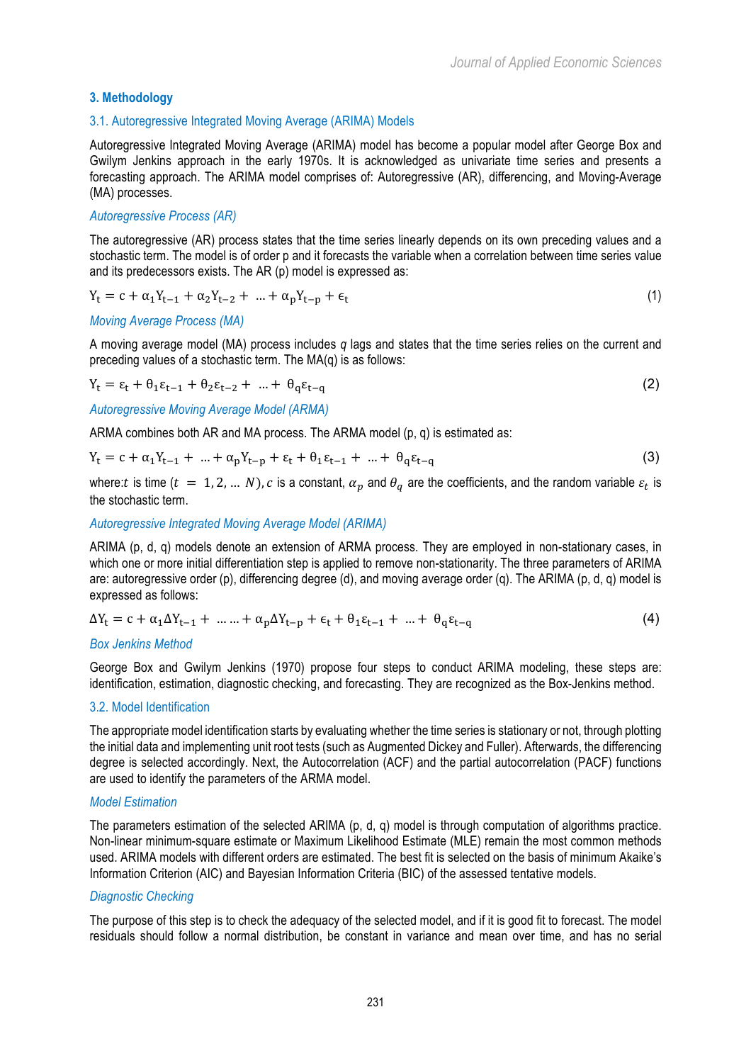# **3. Methodology**

## 3.1. Autoregressive Integrated Moving Average (ARIMA) Models

Autoregressive Integrated Moving Average (ARIMA) model has become a popular model after George Box and Gwilym Jenkins approach in the early 1970s. It is acknowledged as univariate time series and presents a forecasting approach. The ARIMA model comprises of: Autoregressive (AR), differencing, and Moving-Average (MA) processes.

## *Autoregressive Process (AR)*

The autoregressive (AR) process states that the time series linearly depends on its own preceding values and a stochastic term. The model is of order p and it forecasts the variable when a correlation between time series value and its predecessors exists. The AR (p) model is expressed as:

$$
Y_{t} = c + \alpha_{1} Y_{t-1} + \alpha_{2} Y_{t-2} + \dots + \alpha_{p} Y_{t-p} + \epsilon_{t}
$$
\n(1)

### *Moving Average Process (MA)*

A moving average model (MA) process includes *q* lags and states that the time series relies on the current and preceding values of a stochastic term. The MA(q) is as follows:

$$
Y_t = \varepsilon_t + \theta_1 \varepsilon_{t-1} + \theta_2 \varepsilon_{t-2} + \dots + \theta_q \varepsilon_{t-q}
$$
 (2)

*Autoregressive Moving Average Model (ARMA)*

ARMA combines both AR and MA process. The ARMA model (p, q) is estimated as:

$$
Y_{t} = c + \alpha_{1}Y_{t-1} + ... + \alpha_{p}Y_{t-p} + \varepsilon_{t} + \theta_{1}\varepsilon_{t-1} + ... + \theta_{q}\varepsilon_{t-q}
$$
\n(3)

where: t is time  $(t = 1, 2, ... N)$ , c is a constant,  $\alpha_p$  and  $\theta_q$  are the coefficients, and the random variable  $\varepsilon_t$  is the stochastic term.

## *Autoregressive Integrated Moving Average Model (ARIMA)*

ARIMA (p, d, q) models denote an extension of ARMA process. They are employed in non-stationary cases, in which one or more initial differentiation step is applied to remove non-stationarity. The three parameters of ARIMA are: autoregressive order (p), differencing degree (d), and moving average order (q). The ARIMA (p, d, q) model is expressed as follows:

$$
\Delta Y_{t} = c + \alpha_{1} \Delta Y_{t-1} + \dots + \alpha_{p} \Delta Y_{t-p} + \epsilon_{t} + \theta_{1} \epsilon_{t-1} + \dots + \theta_{q} \epsilon_{t-q}
$$
(4)

### *Box Jenkins Method*

George Box and Gwilym Jenkins (1970) propose four steps to conduct ARIMA modeling, these steps are: identification, estimation, diagnostic checking, and forecasting. They are recognized as the Box-Jenkins method.

### 3.2. Model Identification

The appropriate model identification starts by evaluating whether the time series is stationary or not, through plotting the initial data and implementing unit root tests (such as Augmented Dickey and Fuller). Afterwards, the differencing degree is selected accordingly. Next, the Autocorrelation (ACF) and the partial autocorrelation (PACF) functions are used to identify the parameters of the ARMA model.

### *Model Estimation*

The parameters estimation of the selected ARIMA (p, d, q) model is through computation of algorithms practice. Non-linear minimum-square estimate or Maximum Likelihood Estimate (MLE) remain the most common methods used. ARIMA models with different orders are estimated. The best fit is selected on the basis of minimum Akaike's Information Criterion (AIC) and Bayesian Information Criteria (BIC) of the assessed tentative models.

### *Diagnostic Checking*

The purpose of this step is to check the adequacy of the selected model, and if it is good fit to forecast. The model residuals should follow a normal distribution, be constant in variance and mean over time, and has no serial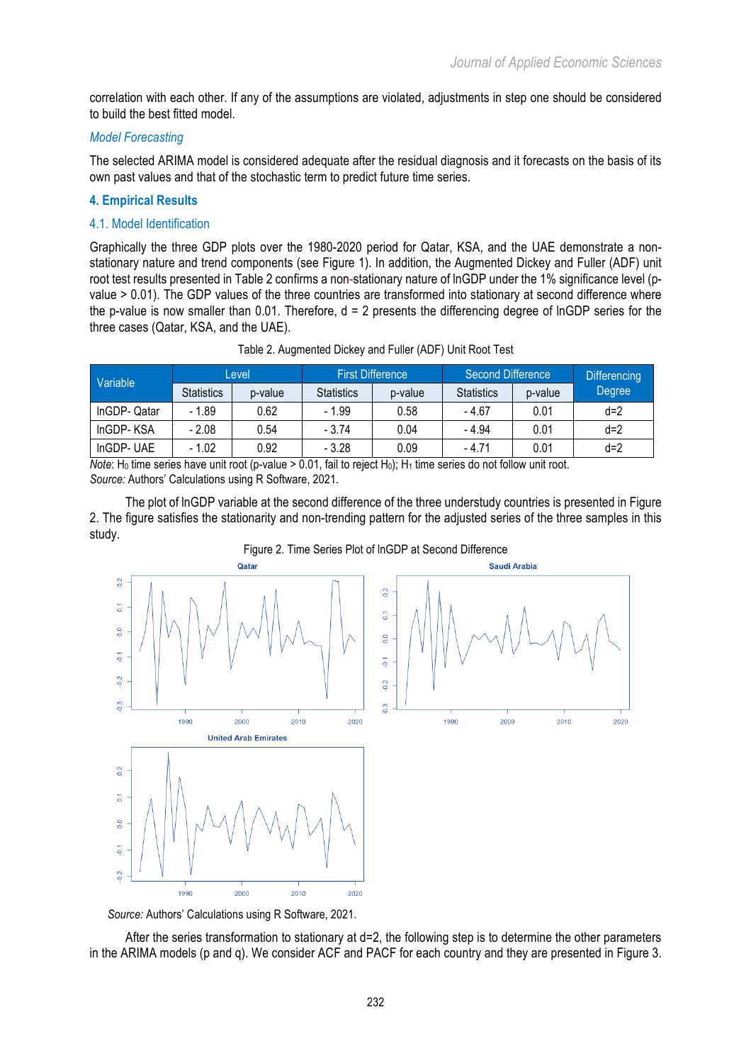$2020$ 

2000

2010

correlation with each other. If any of the assumptions are violated, adjustments in step one should be considered to build the best fitted model.

## *Model Forecasting*

The selected ARIMA model is considered adequate after the residual diagnosis and it forecasts on the basis of its own past values and that of the stochastic term to predict future time series.

## **4. Empirical Results**

## 4.1. Model Identification

Graphically the three GDP plots over the 1980-2020 period for Qatar, KSA, and the UAE demonstrate a nonstationary nature and trend components (see Figure 1). In addition, the Augmented Dickey and Fuller (ADF) unit root test results presented in Table 2 confirms a non-stationary nature of lnGDP under the 1% significance level (pvalue > 0.01). The GDP values of the three countries are transformed into stationary at second difference where the p-value is now smaller than 0.01. Therefore,  $d = 2$  presents the differencing degree of lnGDP series for the three cases (Qatar, KSA, and the UAE).

| Variable                     |                   | Level   |                   | <b>First Difference</b> | Second Difference | <b>Differencing</b> |        |
|------------------------------|-------------------|---------|-------------------|-------------------------|-------------------|---------------------|--------|
|                              | <b>Statistics</b> | p-value | <b>Statistics</b> | p-value                 | <b>Statistics</b> | p-value             | Degree |
| InGDP-Qatar                  | $-1.89$           | 0.62    | - 1.99            | 0.58                    | - 4.67            | 0.01                | $d=2$  |
| InGDP-KSA                    | $-2.08$           | 0.54    | $-3.74$           | 0.04                    | - 4.94            | 0.01                | $d=2$  |
| InGDP-UAE<br>$-1.02$<br>0.92 |                   | $-3.28$ | 0.09              | - 4.71                  | 0.01              | $d=2$               |        |

*Note*: H<sub>0</sub> time series have unit root (p-value > 0.01, fail to reject H<sub>0</sub>); H<sub>1</sub> time series do not follow unit root. *Source:* Authors' Calculations using R Software, 2021.

The plot of lnGDP variable at the second difference of the three understudy countries is presented in Figure 2. The figure satisfies the stationarity and non-trending pattern for the adjusted series of the three samples in this study.



### Figure 2. Time Series Plot of lnGDP at Second Difference

*Source:* Authors' Calculations using R Software, 2021.

After the series transformation to stationary at d=2, the following step is to determine the other parameters in the ARIMA models (p and q). We consider ACF and PACF for each country and they are presented in Figure 3.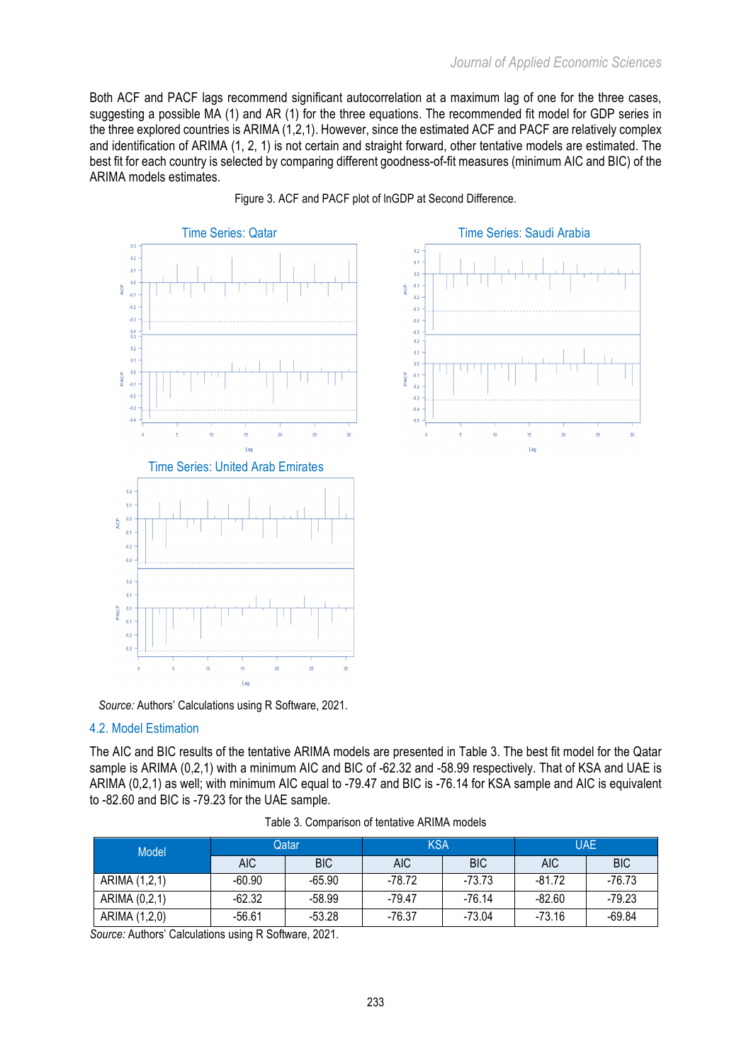La

Both ACF and PACF lags recommend significant autocorrelation at a maximum lag of one for the three cases, suggesting a possible MA (1) and AR (1) for the three equations. The recommended fit model for GDP series in the three explored countries is ARIMA (1,2,1). However, since the estimated ACF and PACF are relatively complex and identification of ARIMA (1, 2, 1) is not certain and straight forward, other tentative models are estimated. The best fit for each country is selected by comparing different goodness-of-fit measures (minimum AIC and BIC) of the ARIMA models estimates.



Figure 3. ACF and PACF plot of lnGDP at Second Difference.

 $\theta$ 

 $\overline{0}$ .

 $\overline{0}$ 

 $-0.1$ 

 $-0.2$ 

 $-0.3$ 

 $-0.4$ 

.<br>Ai  $\frac{1}{0.2}$ 

 $0.1$ 

 $0.0$ 

 $-0.$ PACF

 $-0.2$ 

 $-0.3$ 

 $-0.4$ 

 $-0.6$ 

VCF

*Source:* Authors' Calculations using R Software, 2021.

# 4.2. Model Estimation

The AIC and BIC results of the tentative ARIMA models are presented in Table 3. The best fit model for the Qatar sample is ARIMA (0,2,1) with a minimum AIC and BIC of -62.32 and -58.99 respectively. That of KSA and UAE is ARIMA (0,2,1) as well; with minimum AIC equal to -79.47 and BIC is -76.14 for KSA sample and AIC is equivalent to -82.60 and BIC is -79.23 for the UAE sample.

| Model         |            | Qatar      | <b>KSA</b> |            | <b>UAE</b> |            |  |
|---------------|------------|------------|------------|------------|------------|------------|--|
|               | <b>AIC</b> | <b>BIC</b> | <b>AIC</b> | <b>BIC</b> | <b>AIC</b> | <b>BIC</b> |  |
| ARIMA (1,2,1) | -60.90     | -65.90     | -78.72     | -73.73     | $-81.72$   | $-76.73$   |  |
| ARIMA (0,2,1) | -62.32     | -58.99     | $-79.47$   | $-76.14$   | $-82.60$   | $-79.23$   |  |
| ARIMA (1,2,0) | -56.61     | -53.28     | -76.37     | $-73.04$   | $-73.16$   | $-69.84$   |  |

Table 3. Comparison of tentative ARIMA models

*Source:* Authors' Calculations using R Software, 2021.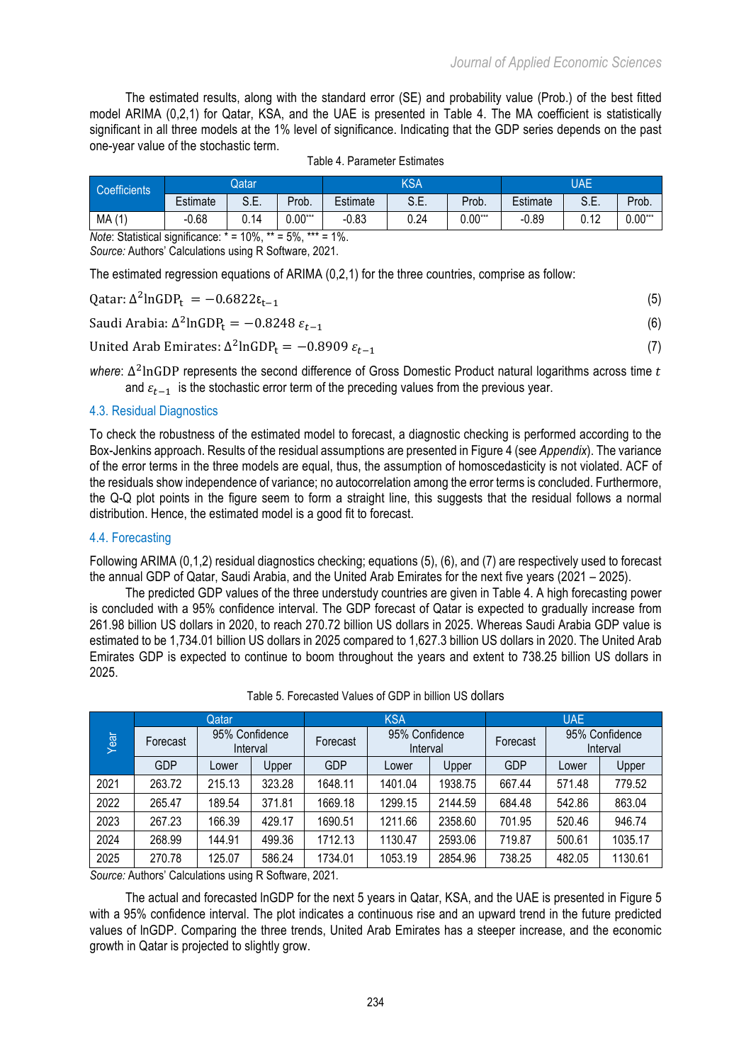The estimated results, along with the standard error (SE) and probability value (Prob.) of the best fitted model ARIMA (0,2,1) for Qatar, KSA, and the UAE is presented in Table 4. The MA coefficient is statistically significant in all three models at the 1% level of significance. Indicating that the GDP series depends on the past one-year value of the stochastic term.

| <b>Coefficients</b>                                              |          | Qatar       |                       |          | KSA  |           | UAE      |            |           |
|------------------------------------------------------------------|----------|-------------|-----------------------|----------|------|-----------|----------|------------|-----------|
|                                                                  | Estimate | S E<br>∪.∟. | Prob.                 | Estimate | S.E. | Prob.     | Estimate | eг<br>۵.E. | Prob.     |
| MA(1)                                                            | $-0.68$  | 0.14        | $0.00^{\ast\ast\ast}$ | $-0.83$  | 0.24 | $0.00***$ | $-0.89$  | 0.12       | $0.00***$ |
| $Noto: \nChotictional cionification * = 100/ ** = 50/ *** = 10/$ |          |             |                       |          |      |           |          |            |           |

*Note*: Statistical significance:  $* = 10\%$ ,  $** = 5\%$ ,  $*$ *Source:* Authors' Calculations using R Software, 2021.

The estimated regression equations of ARIMA (0,2,1) for the three countries, comprise as follow:

| Qatar: $\Delta^2$ lnGDP <sub>t</sub> = $-0.6822\epsilon_{t-1}$            |  |
|---------------------------------------------------------------------------|--|
| Saudi Arabia: $\Delta^2$ lnGDP <sub>t</sub> = -0.8248 $\varepsilon_{t-1}$ |  |

United Arab Emirates:  $\Delta^2$ lnGDP<sub>t</sub> = −0.8909  $\varepsilon_{t-1}$  (7)

*where*:  $\Delta^2$ lnGDP represents the second difference of Gross Domestic Product natural logarithms across time t and  $\varepsilon_{t-1}$  is the stochastic error term of the preceding values from the previous year.

## 4.3. Residual Diagnostics

To check the robustness of the estimated model to forecast, a diagnostic checking is performed according to the Box-Jenkins approach. Results of the residual assumptions are presented in Figure 4 (see *Appendix*). The variance of the error terms in the three models are equal, thus, the assumption of homoscedasticity is not violated. ACF of the residuals show independence of variance; no autocorrelation among the error terms is concluded. Furthermore, the Q-Q plot points in the figure seem to form a straight line, this suggests that the residual follows a normal distribution. Hence, the estimated model is a good fit to forecast.

# 4.4. Forecasting

Following ARIMA (0,1,2) residual diagnostics checking; equations (5), (6), and (7) are respectively used to forecast the annual GDP of Qatar, Saudi Arabia, and the United Arab Emirates for the next five years (2021 – 2025).

The predicted GDP values of the three understudy countries are given in Table 4. A high forecasting power is concluded with a 95% confidence interval. The GDP forecast of Qatar is expected to gradually increase from 261.98 billion US dollars in 2020, to reach 270.72 billion US dollars in 2025. Whereas Saudi Arabia GDP value is estimated to be 1,734.01 billion US dollars in 2025 compared to 1,627.3 billion US dollars in 2020. The United Arab Emirates GDP is expected to continue to boom throughout the years and extent to 738.25 billion US dollars in 2025.

|      |            | Qatar                      |        |            | <b>KSA</b>                 |         |            | <b>UAE</b> |                            |
|------|------------|----------------------------|--------|------------|----------------------------|---------|------------|------------|----------------------------|
| Year | Forecast   | 95% Confidence<br>Interval |        | Forecast   | 95% Confidence<br>Interval |         | Forecast   |            | 95% Confidence<br>Interval |
|      | <b>GDP</b> | Lower                      | Upper  | <b>GDP</b> | Lower                      | Upper   | <b>GDP</b> | Lower      | Upper                      |
| 2021 | 263.72     | 215.13                     | 323.28 | 1648.11    | 1401.04                    | 1938.75 | 667.44     | 571.48     | 779.52                     |
| 2022 | 265.47     | 189.54                     | 371.81 | 1669.18    | 1299.15                    | 2144.59 | 684.48     | 542.86     | 863.04                     |
| 2023 | 267.23     | 166.39                     | 429.17 | 1690.51    | 1211.66                    | 2358.60 | 701.95     | 520.46     | 946.74                     |
| 2024 | 268.99     | 144.91                     | 499.36 | 1712.13    | 1130.47                    | 2593.06 | 719.87     | 500.61     | 1035.17                    |
| 2025 | 270.78     | 125.07                     | 586.24 | 1734.01    | 1053.19                    | 2854.96 | 738.25     | 482.05     | 1130.61                    |

### Table 5. Forecasted Values of GDP in billion US dollars

*Source:* Authors' Calculations using R Software, 2021*.*

The actual and forecasted lnGDP for the next 5 years in Qatar, KSA, and the UAE is presented in Figure 5 with a 95% confidence interval. The plot indicates a continuous rise and an upward trend in the future predicted values of lnGDP. Comparing the three trends, United Arab Emirates has a steeper increase, and the economic growth in Qatar is projected to slightly grow.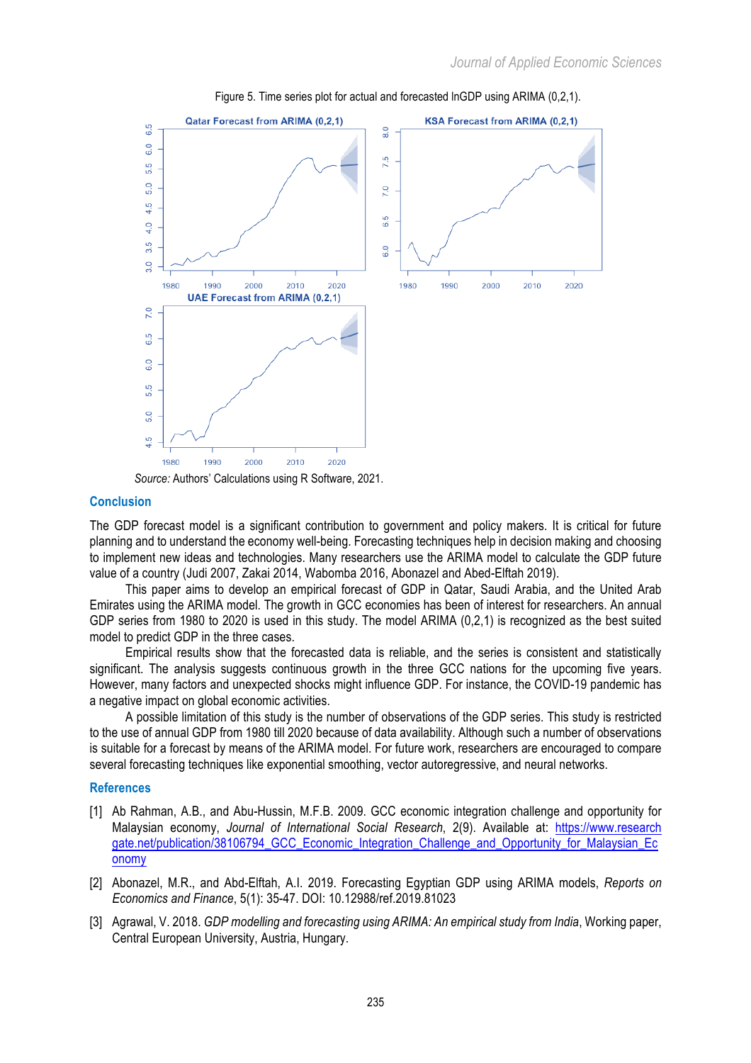

Figure 5. Time series plot for actual and forecasted lnGDP using ARIMA (0,2,1).

*Source:* Authors' Calculations using R Software, 2021.

#### **Conclusion**

The GDP forecast model is a significant contribution to government and policy makers. It is critical for future planning and to understand the economy well-being. Forecasting techniques help in decision making and choosing to implement new ideas and technologies. Many researchers use the ARIMA model to calculate the GDP future value of a country (Judi 2007, Zakai 2014, Wabomba 2016, Abonazel and Abed-Elftah 2019).

This paper aims to develop an empirical forecast of GDP in Qatar, Saudi Arabia, and the United Arab Emirates using the ARIMA model. The growth in GCC economies has been of interest for researchers. An annual GDP series from 1980 to 2020 is used in this study. The model ARIMA (0,2,1) is recognized as the best suited model to predict GDP in the three cases.

Empirical results show that the forecasted data is reliable, and the series is consistent and statistically significant. The analysis suggests continuous growth in the three GCC nations for the upcoming five years. However, many factors and unexpected shocks might influence GDP. For instance, the COVID-19 pandemic has a negative impact on global economic activities.

A possible limitation of this study is the number of observations of the GDP series. This study is restricted to the use of annual GDP from 1980 till 2020 because of data availability. Although such a number of observations is suitable for a forecast by means of the ARIMA model. For future work, researchers are encouraged to compare several forecasting techniques like exponential smoothing, vector autoregressive, and neural networks.

#### **References**

- [1] Ab Rahman, A.B., and Abu-Hussin, M.F.B. 2009. GCC economic integration challenge and opportunity for Malaysian economy, *Journal of International Social Research*, 2(9). Available at: https://www.research gate.net/publication/38106794\_GCC\_Economic\_Integration\_Challenge\_and\_Opportunity\_for\_Malaysian\_Ec onomy
- [2] Abonazel, M.R., and Abd-Elftah, A.I. 2019. Forecasting Egyptian GDP using ARIMA models, *Reports on Economics and Finance*, 5(1): 35-47. DOI: 10.12988/ref.2019.81023
- [3] Agrawal, V. 2018. *GDP modelling and forecasting using ARIMA: An empirical study from India*, Working paper, Central European University, Austria, Hungary.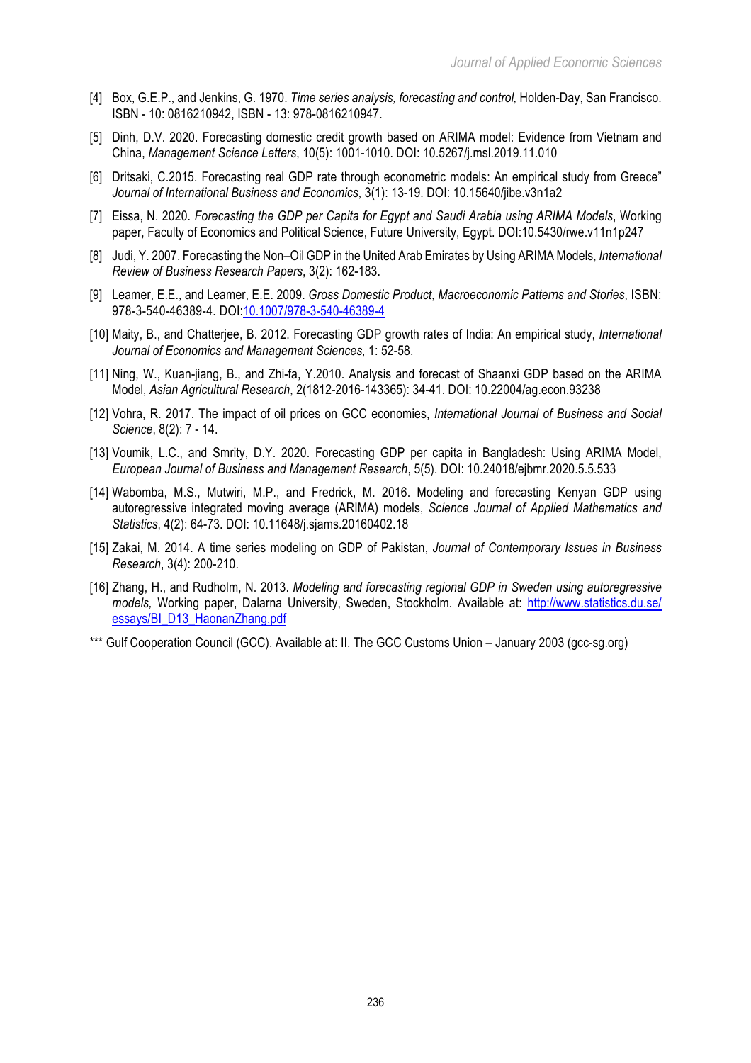- [4] Box, G.E.P., and Jenkins, G. 1970. *Time series analysis, forecasting and control,* Holden-Day, San Francisco. ISBN - 10: 0816210942, ISBN - 13: 978-0816210947.
- [5] Dinh, D.V. 2020. Forecasting domestic credit growth based on ARIMA model: Evidence from Vietnam and China, *Management Science Letters*, 10(5): 1001-1010. DOI: 10.5267/j.msl.2019.11.010
- [6] Dritsaki, C.2015. Forecasting real GDP rate through econometric models: An empirical study from Greece" *Journal of International Business and Economics*, 3(1): 13-19. DOI: 10.15640/jibe.v3n1a2
- [7] Eissa, N. 2020. *Forecasting the GDP per Capita for Egypt and Saudi Arabia using ARIMA Models*, Working paper, Faculty of Economics and Political Science, Future University, Egypt. DOI:10.5430/rwe.v11n1p247
- [8] Judi, Y. 2007. Forecasting the Non–Oil GDP in the United Arab Emirates by Using ARIMA Models, *International Review of Business Research Papers*, 3(2): 162-183.
- [9] Leamer, E.E., and Leamer, E.E. 2009. *Gross Domestic Product*, *Macroeconomic Patterns and Stories*, ISBN: 978-3-540-46389-4. DOI:10.1007/978-3-540-46389-4
- [10] Maity, B., and Chatterjee, B. 2012. Forecasting GDP growth rates of India: An empirical study, *International Journal of Economics and Management Sciences*, 1: 52-58.
- [11] Ning, W., Kuan-jiang, B., and Zhi-fa, Y.2010. Analysis and forecast of Shaanxi GDP based on the ARIMA Model, *Asian Agricultural Research*, 2(1812-2016-143365): 34-41. DOI: 10.22004/ag.econ.93238
- [12] Vohra, R. 2017. The impact of oil prices on GCC economies, *International Journal of Business and Social Science*, 8(2): 7 - 14.
- [13] Voumik, L.C., and Smrity, D.Y. 2020. Forecasting GDP per capita in Bangladesh: Using ARIMA Model, *European Journal of Business and Management Research*, 5(5). DOI: 10.24018/ejbmr.2020.5.5.533
- [14] Wabomba, M.S., Mutwiri, M.P., and Fredrick, M. 2016. Modeling and forecasting Kenyan GDP using autoregressive integrated moving average (ARIMA) models, *Science Journal of Applied Mathematics and Statistics*, 4(2): 64-73. DOI: 10.11648/j.sjams.20160402.18
- [15] Zakai, M. 2014. A time series modeling on GDP of Pakistan, *Journal of Contemporary Issues in Business Research*, 3(4): 200-210.
- [16] Zhang, H., and Rudholm, N. 2013. *Modeling and forecasting regional GDP in Sweden using autoregressive models,* Working paper, Dalarna University, Sweden, Stockholm. Available at: http://www.statistics.du.se/ essays/BI\_D13\_HaonanZhang.pdf
- \*\*\* Gulf Cooperation Council (GCC). Available at: II. The GCC Customs Union January 2003 (gcc-sg.org)